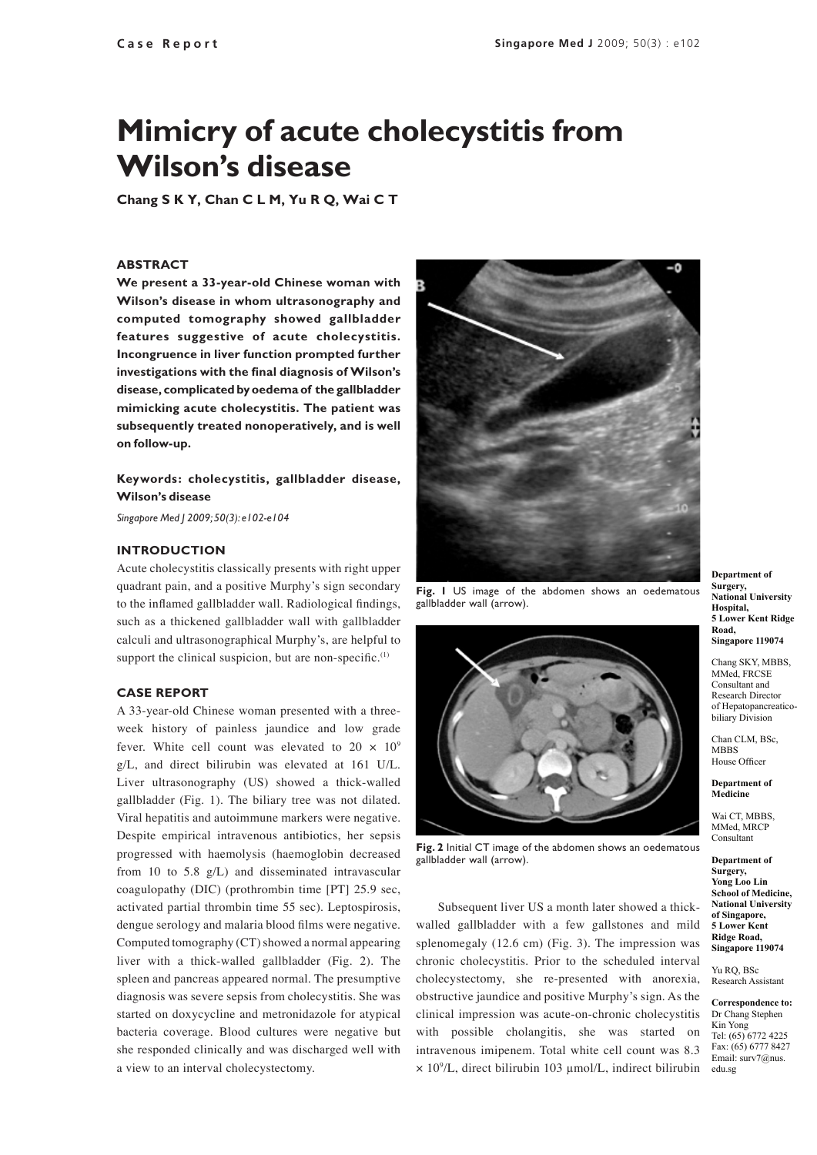# **Mimicry of acute cholecystitis from Wilson's disease**

**Chang S K Y, Chan C L M, Yu R Q, Wai C T**

#### **ABSTRACT**

**We present a 33-year-old Chinese woman with Wilson's disease in whom ultrasonography and computed tomography showed gallbladder features suggestive of acute cholecystitis. Incongruence in liver function prompted further investigations with the final diagnosis of Wilson's disease, complicated by oedema of the gallbladder mimicking acute cholecystitis. The patient was subsequently treated nonoperatively, and is well on follow-up.**

## **Keywords: cholecystitis, gallbladder disease, Wilson's disease**

*Singapore Med J 2009; 50(3): e102-e104*

#### **Introduction**

Acute cholecystitis classically presents with right upper quadrant pain, and a positive Murphy's sign secondary to the inflamed gallbladder wall. Radiological findings, such as a thickened gallbladder wall with gallbladder calculi and ultrasonographical Murphy's, are helpful to support the clinical suspicion, but are non-specific. $(1)$ 

#### **Case Report**

A 33-year-old Chinese woman presented with a threeweek history of painless jaundice and low grade fever. White cell count was elevated to  $20 \times 10^9$ g/L, and direct bilirubin was elevated at 161 U/L. Liver ultrasonography (US) showed a thick-walled gallbladder (Fig. 1). The biliary tree was not dilated. Viral hepatitis and autoimmune markers were negative. Despite empirical intravenous antibiotics, her sepsis progressed with haemolysis (haemoglobin decreased from 10 to 5.8 g/L) and disseminated intravascular coagulopathy (DIC) (prothrombin time [PT] 25.9 sec, activated partial thrombin time 55 sec). Leptospirosis, dengue serology and malaria blood films were negative. Computed tomography (CT) showed a normal appearing liver with a thick-walled gallbladder (Fig. 2). The spleen and pancreas appeared normal. The presumptive diagnosis was severe sepsis from cholecystitis. She was started on doxycycline and metronidazole for atypical bacteria coverage. Blood cultures were negative but she responded clinically and was discharged well with a view to an interval cholecystectomy.



**Fig. 1** US image of the abdomen shows an oedematous gallbladder wall (arrow).



**Fig. 2** Initial CT image of the abdomen shows an oedematous gallbladder wall (arrow).

Subsequent liver US a month later showed a thickwalled gallbladder with a few gallstones and mild splenomegaly (12.6 cm) (Fig. 3). The impression was chronic cholecystitis. Prior to the scheduled interval cholecystectomy, she re-presented with anorexia, obstructive jaundice and positive Murphy's sign. As the clinical impression was acute-on-chronic cholecystitis with possible cholangitis, she was started on intravenous imipenem. Total white cell count was 8.3 × 10<sup>9</sup> /L, direct bilirubin 103 µmol/L, indirect bilirubin

**Department of Surgery, National University Hospital, 5 Lower Kent Ridge Road, Singapore 119074**

Chang SKY, MBBS, MMed, FRCSE Consultant and Research Director of Hepatopancreaticobiliary Division

Chan CLM, BSc, MBBS House Officer

**Department of Medicine**

Wai CT, MBBS, MMed, MRCP Consultant

**Department of Surgery, Yong Loo Lin School of Medicine, National University of Singapore, 5 Lower Kent Ridge Road, Singapore 119074**

Yu RQ, BSc Research Assistant

**Correspondence to:** Dr Chang Stephen Kin Yong Tel: (65) 6772 4225 Fax: (65) 6777 8427 Email: surv7@nus. edu.sg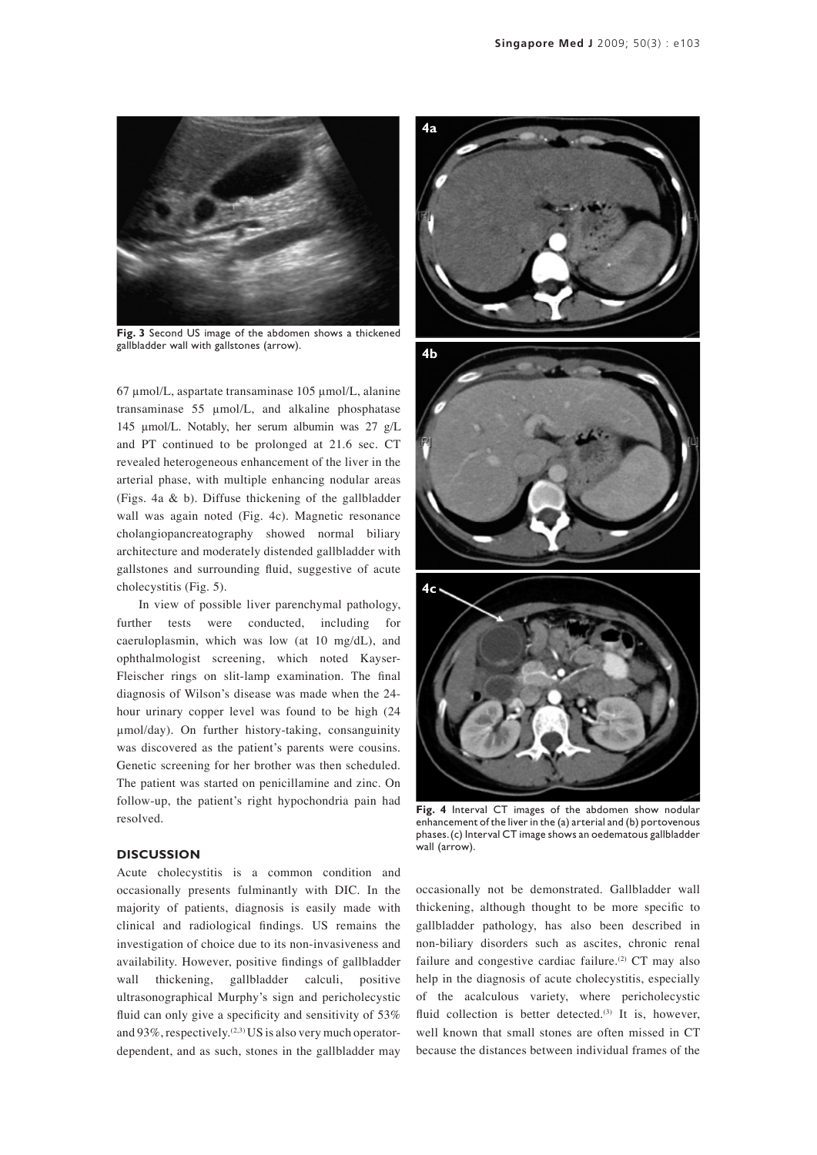

**Fig. 3** Second US image of the abdomen shows a thickened gallbladder wall with gallstones (arrow).

67 µmol/L, aspartate transaminase 105 µmol/L, alanine transaminase 55 µmol/L, and alkaline phosphatase 145 µmol/L. Notably, her serum albumin was 27 g/L and PT continued to be prolonged at 21.6 sec. CT revealed heterogeneous enhancement of the liver in the arterial phase, with multiple enhancing nodular areas (Figs. 4a & b). Diffuse thickening of the gallbladder wall was again noted (Fig. 4c). Magnetic resonance cholangiopancreatography showed normal biliary architecture and moderately distended gallbladder with gallstones and surrounding fluid, suggestive of acute cholecystitis (Fig. 5).

In view of possible liver parenchymal pathology, further tests were conducted, including for caeruloplasmin, which was low (at 10 mg/dL), and ophthalmologist screening, which noted Kayser-Fleischer rings on slit-lamp examination. The final diagnosis of Wilson's disease was made when the 24 hour urinary copper level was found to be high (24 µmol/day). On further history-taking, consanguinity was discovered as the patient's parents were cousins. Genetic screening for her brother was then scheduled. The patient was started on penicillamine and zinc. On follow-up, the patient's right hypochondria pain had resolved.

### **Discussion**

Acute cholecystitis is a common condition and occasionally presents fulminantly with DIC. In the majority of patients, diagnosis is easily made with clinical and radiological findings. US remains the investigation of choice due to its non-invasiveness and availability. However, positive findings of gallbladder wall thickening, gallbladder calculi, positive ultrasonographical Murphy's sign and pericholecystic fluid can only give a specificity and sensitivity of 53% and  $93\%$ , respectively.<sup>(2,3)</sup> US is also very much operatordependent, and as such, stones in the gallbladder may



**Fig. 4** Interval CT images of the abdomen show nodular enhancement of the liver in the (a) arterial and (b) portovenous phases. (c) Interval CT image shows an oedematous gallbladder wall (arrow).

occasionally not be demonstrated. Gallbladder wall thickening, although thought to be more specific to gallbladder pathology, has also been described in non-biliary disorders such as ascites, chronic renal failure and congestive cardiac failure.<sup>(2)</sup>  $CT$  may also help in the diagnosis of acute cholecystitis, especially of the acalculous variety, where pericholecystic fluid collection is better detected. $(3)$  It is, however, well known that small stones are often missed in CT because the distances between individual frames of the